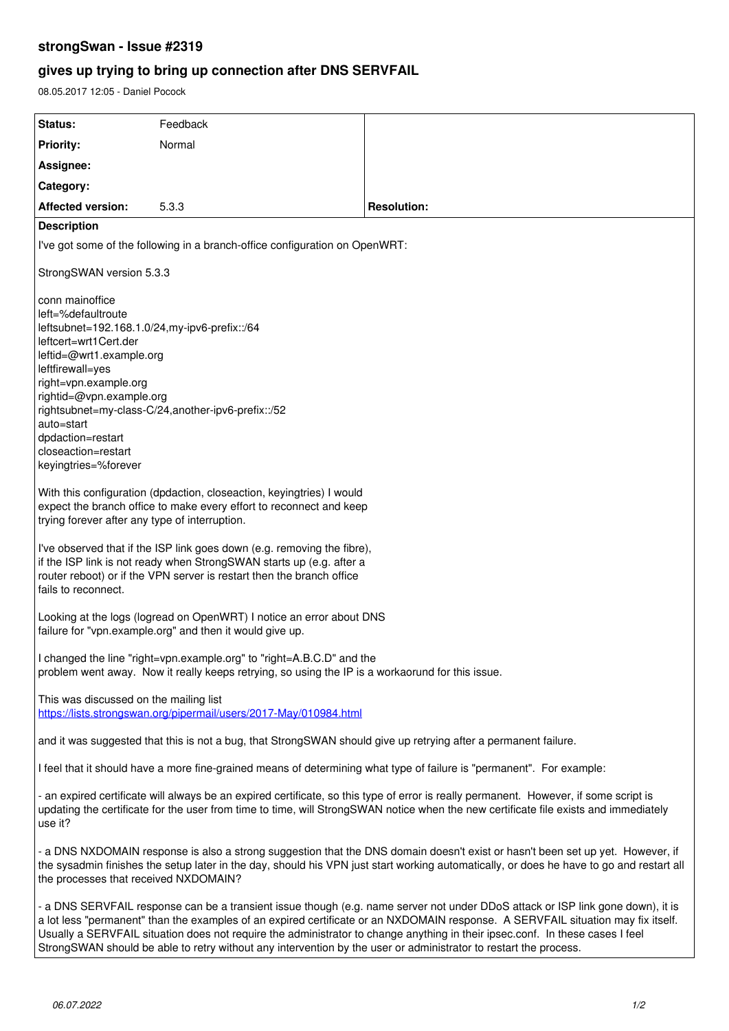## **strongSwan - Issue #2319**

# **gives up trying to bring up connection after DNS SERVFAIL**

08.05.2017 12:05 - Daniel Pocock

| Status:                                                                                                                                                                                                                                                                                                                                                                                                                                                                                                                  | Feedback |                    |
|--------------------------------------------------------------------------------------------------------------------------------------------------------------------------------------------------------------------------------------------------------------------------------------------------------------------------------------------------------------------------------------------------------------------------------------------------------------------------------------------------------------------------|----------|--------------------|
| <b>Priority:</b>                                                                                                                                                                                                                                                                                                                                                                                                                                                                                                         | Normal   |                    |
| Assignee:                                                                                                                                                                                                                                                                                                                                                                                                                                                                                                                |          |                    |
| Category:                                                                                                                                                                                                                                                                                                                                                                                                                                                                                                                |          |                    |
| <b>Affected version:</b>                                                                                                                                                                                                                                                                                                                                                                                                                                                                                                 | 5.3.3    | <b>Resolution:</b> |
| <b>Description</b>                                                                                                                                                                                                                                                                                                                                                                                                                                                                                                       |          |                    |
| I've got some of the following in a branch-office configuration on OpenWRT:                                                                                                                                                                                                                                                                                                                                                                                                                                              |          |                    |
| StrongSWAN version 5.3.3                                                                                                                                                                                                                                                                                                                                                                                                                                                                                                 |          |                    |
| conn mainoffice<br>left=%defaultroute<br>leftsubnet=192.168.1.0/24,my-ipv6-prefix::/64<br>leftcert=wrt1Cert.der<br>leftid=@wrt1.example.org<br>leftfirewall=yes<br>right=vpn.example.org<br>rightid=@vpn.example.org<br>rightsubnet=my-class-C/24,another-ipv6-prefix::/52<br>auto=start<br>dpdaction=restart<br>closeaction=restart<br>keyingtries=%forever                                                                                                                                                             |          |                    |
| With this configuration (dpdaction, closeaction, keyingtries) I would<br>expect the branch office to make every effort to reconnect and keep<br>trying forever after any type of interruption.                                                                                                                                                                                                                                                                                                                           |          |                    |
| I've observed that if the ISP link goes down (e.g. removing the fibre),<br>if the ISP link is not ready when StrongSWAN starts up (e.g. after a<br>router reboot) or if the VPN server is restart then the branch office<br>fails to reconnect.                                                                                                                                                                                                                                                                          |          |                    |
| Looking at the logs (logread on OpenWRT) I notice an error about DNS<br>failure for "vpn.example.org" and then it would give up.                                                                                                                                                                                                                                                                                                                                                                                         |          |                    |
| I changed the line "right=vpn.example.org" to "right=A.B.C.D" and the<br>problem went away. Now it really keeps retrying, so using the IP is a workaorund for this issue.                                                                                                                                                                                                                                                                                                                                                |          |                    |
| This was discussed on the mailing list<br>https://lists.strongswan.org/pipermail/users/2017-May/010984.html                                                                                                                                                                                                                                                                                                                                                                                                              |          |                    |
| and it was suggested that this is not a bug, that StrongSWAN should give up retrying after a permanent failure.                                                                                                                                                                                                                                                                                                                                                                                                          |          |                    |
| I feel that it should have a more fine-grained means of determining what type of failure is "permanent". For example:                                                                                                                                                                                                                                                                                                                                                                                                    |          |                    |
| - an expired certificate will always be an expired certificate, so this type of error is really permanent. However, if some script is<br>updating the certificate for the user from time to time, will StrongSWAN notice when the new certificate file exists and immediately<br>use it?                                                                                                                                                                                                                                 |          |                    |
| - a DNS NXDOMAIN response is also a strong suggestion that the DNS domain doesn't exist or hasn't been set up yet. However, if<br>the sysadmin finishes the setup later in the day, should his VPN just start working automatically, or does he have to go and restart all<br>the processes that received NXDOMAIN?                                                                                                                                                                                                      |          |                    |
| - a DNS SERVFAIL response can be a transient issue though (e.g. name server not under DDoS attack or ISP link gone down), it is<br>a lot less "permanent" than the examples of an expired certificate or an NXDOMAIN response. A SERVFAIL situation may fix itself.<br>Usually a SERVFAIL situation does not require the administrator to change anything in their ipsec.conf. In these cases I feel<br>StrongSWAN should be able to retry without any intervention by the user or administrator to restart the process. |          |                    |